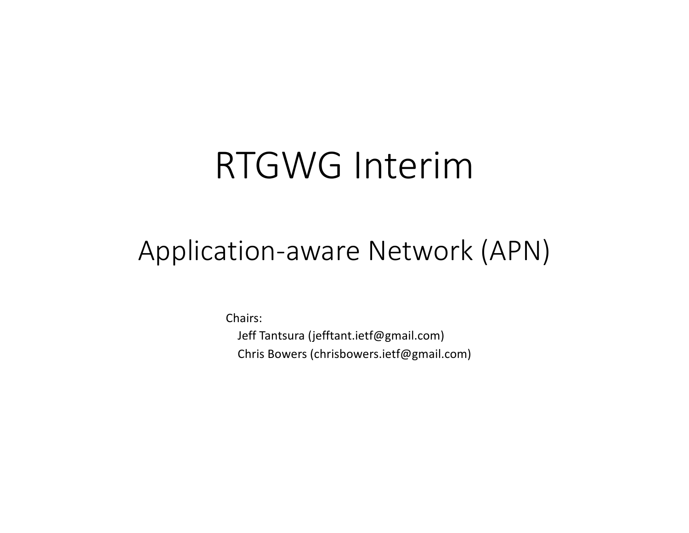# RTGWG Interim

## Application-aware Network (APN)

Chairs: Jeff Tantsura (jefftant.ietf@gmail.com) Chris Bowers (chrisbowers.ietf@gmail.com)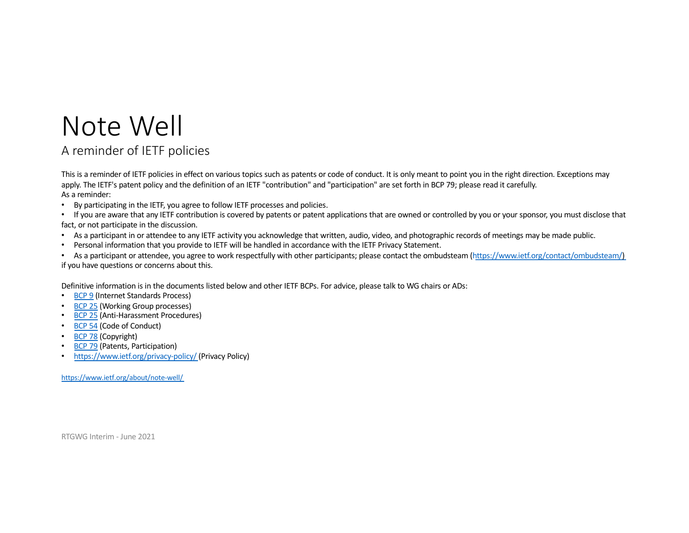### Note Well

#### A reminder of IETF policies

This is a reminder of IETF policies in effect on various topics such as patents or code of conduct. It is only meant to point you in the right direction. Exceptions may apply. The IETF's patent policy and the definition of an IETF "contribution" and "participation" are set forth in BCP 79; please read it carefully. As a reminder:

- By participating in the IETF, you agree to follow IETF processes and policies.
- If you are aware that any IETF contribution is covered by patents or patent applications that are owned or controlled by you or your sponsor, you must disclose that fact, or not participate in the discussion.
- As a participant in or attendee to any IETF activity you acknowledge that written, audio, video, and photographic records of meetings may be made public.
- Personal information that you provide to IETF will be handled in accordance with the IETF Privacy Statement.

• As a participant or attendee, you agree to work respectfully with other participants; please contact the ombudsteam [\(https://www.ietf.org/contact/ombudsteam](https://www.ietf.org/contact/ombudsteam/)/) if you have questions or concerns about this.

Definitive information is in the documents listed below and other IETF BCPs. For advice, please talk to WG chairs or ADs:

- [BCP](https://www.rfc-editor.org/info/bcp9) 9 (Internet Standards Process)
- [BCP](https://www.rfc-editor.org/info/bcp25) 25 (Working Group processes)
- [BCP](https://www.rfc-editor.org/info/bcp25) 25 (Anti-Harassment Procedures)
- [BCP](https://www.rfc-editor.org/info/bcp54) 54 (Code of Conduct)
- [BCP](https://www.rfc-editor.org/info/bcp78) 78 (Copyright)
- **[BCP](https://www.rfc-editor.org/info/bcp79) 79** (Patents, Participation)
- [https://www.ietf.org/privacy-polic](https://www.ietf.org/privacy-statement/)y/ (Privacy Policy)

[https://www.ietf.org/about/note-we](https://www.ietf.org/about/note-well/)ll/

RTGWG Interim - June 2021